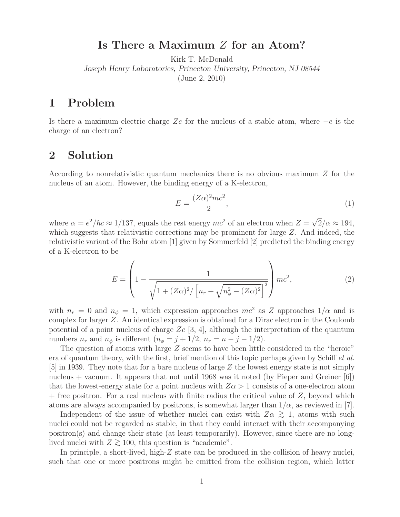## **Is There a Maximum** Z **for an Atom?**

Kirk T. McDonald

*Joseph Henry Laboratories, Princeton University, Princeton, NJ 08544*

(June 2, 2010)

## **1 Problem**

Is there a maximum electric charge Ze for the nucleus of a stable atom, where  $-e$  is the charge of an electron?

## **2 Solution**

According to nonrelativistic quantum mechanics there is no obvious maximum Z for the nucleus of an atom. However, the binding energy of a K-electron,

$$
E = \frac{(Z\alpha)^2 mc^2}{2},\tag{1}
$$

where  $\alpha = e^2/\hbar c \approx 1/137$ , equals the rest energy  $mc^2$  of an electron when  $Z = \sqrt{2}/\alpha \approx 194$ , which suggests that relativistic corrections may be prominent for large Z. And indeed, the relativistic variant of the Bohr atom [1] given by Sommerfeld [2] predicted the binding energy of a K-electron to be

$$
E = \left(1 - \frac{1}{\sqrt{1 + (Z\alpha)^2 / \left[n_r + \sqrt{n_\phi^2 - (Z\alpha)^2}\right]^2}}\right)mc^2,
$$
\n(2)

with  $n_r = 0$  and  $n_\phi = 1$ , which expression approaches  $mc^2$  as Z approaches  $1/\alpha$  and is complex for larger Z. An identical expression is obtained for a Dirac electron in the Coulomb potential of a point nucleus of charge  $Ze$  [3, 4], although the interpretation of the quantum numbers  $n_r$  and  $n_\phi$  is different  $(n_\phi = j + 1/2, n_r = n - j - 1/2)$ .

The question of atoms with large Z seems to have been little considered in the "heroic" era of quantum theory, with the first, brief mention of this topic perhaps given by Schiff *et al.* [5] in 1939. They note that for a bare nucleus of large Z the lowest energy state is not simply nucleus + vacuum. It appears that not until 1968 was it noted (by Pieper and Greiner [6]) that the lowest-energy state for a point nucleus with  $Z\alpha > 1$  consists of a one-electron atom  $+$  free positron. For a real nucleus with finite radius the critical value of  $Z$ , beyond which atoms are always accompanied by positrons, is somewhat larger than  $1/\alpha$ , as reviewed in [7].

Independent of the issue of whether nuclei can exist with  $Z\alpha \gtrsim 1$ , atoms with such linearly the contract with the contract with the contract with the contract with the contract with the contract with the contract with nuclei could not be regarded as stable, in that they could interact with their accompanying positron(s) and change their state (at least temporarily). However, since there are no longlived nuclei with  $Z \gtrsim 100$ , this question is "academic".

In principle, a short-lived, high-Z state can be produced in the collision of heavy nuclei, such that one or more positrons might be emitted from the collision region, which latter